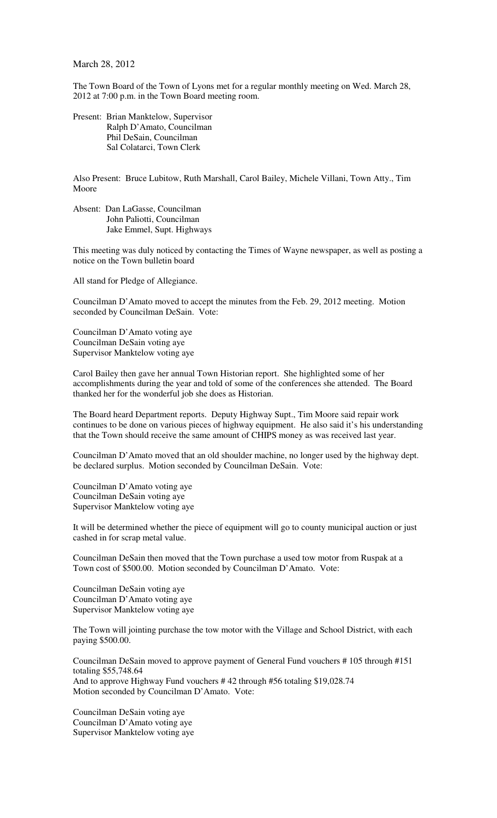March 28, 2012

The Town Board of the Town of Lyons met for a regular monthly meeting on Wed. March 28, 2012 at 7:00 p.m. in the Town Board meeting room.

Present: Brian Manktelow, Supervisor Ralph D'Amato, Councilman Phil DeSain, Councilman Sal Colatarci, Town Clerk

Also Present: Bruce Lubitow, Ruth Marshall, Carol Bailey, Michele Villani, Town Atty., Tim Moore

Absent: Dan LaGasse, Councilman John Paliotti, Councilman Jake Emmel, Supt. Highways

This meeting was duly noticed by contacting the Times of Wayne newspaper, as well as posting a notice on the Town bulletin board

All stand for Pledge of Allegiance.

Councilman D'Amato moved to accept the minutes from the Feb. 29, 2012 meeting. Motion seconded by Councilman DeSain. Vote:

Councilman D'Amato voting aye Councilman DeSain voting aye Supervisor Manktelow voting aye

Carol Bailey then gave her annual Town Historian report. She highlighted some of her accomplishments during the year and told of some of the conferences she attended. The Board thanked her for the wonderful job she does as Historian.

The Board heard Department reports. Deputy Highway Supt., Tim Moore said repair work continues to be done on various pieces of highway equipment. He also said it's his understanding that the Town should receive the same amount of CHIPS money as was received last year.

Councilman D'Amato moved that an old shoulder machine, no longer used by the highway dept. be declared surplus. Motion seconded by Councilman DeSain. Vote:

Councilman D'Amato voting aye Councilman DeSain voting aye Supervisor Manktelow voting aye

It will be determined whether the piece of equipment will go to county municipal auction or just cashed in for scrap metal value.

Councilman DeSain then moved that the Town purchase a used tow motor from Ruspak at a Town cost of \$500.00. Motion seconded by Councilman D'Amato. Vote:

Councilman DeSain voting aye Councilman D'Amato voting aye Supervisor Manktelow voting aye

The Town will jointing purchase the tow motor with the Village and School District, with each paying \$500.00.

Councilman DeSain moved to approve payment of General Fund vouchers # 105 through #151 totaling \$55,748.64 And to approve Highway Fund vouchers # 42 through #56 totaling \$19,028.74 Motion seconded by Councilman D'Amato. Vote:

Councilman DeSain voting aye Councilman D'Amato voting aye Supervisor Manktelow voting aye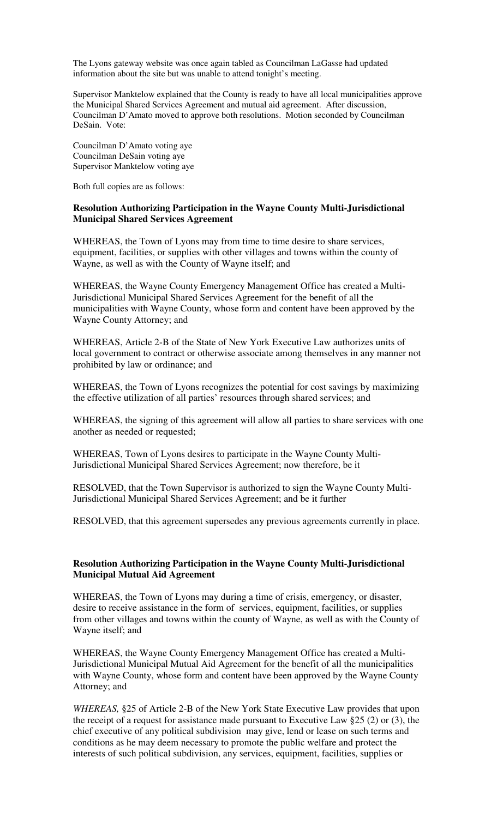The Lyons gateway website was once again tabled as Councilman LaGasse had updated information about the site but was unable to attend tonight's meeting.

Supervisor Manktelow explained that the County is ready to have all local municipalities approve the Municipal Shared Services Agreement and mutual aid agreement. After discussion, Councilman D'Amato moved to approve both resolutions. Motion seconded by Councilman DeSain. Vote:

Councilman D'Amato voting aye Councilman DeSain voting aye Supervisor Manktelow voting aye

Both full copies are as follows:

## **Resolution Authorizing Participation in the Wayne County Multi-Jurisdictional Municipal Shared Services Agreement**

WHEREAS, the Town of Lyons may from time to time desire to share services, equipment, facilities, or supplies with other villages and towns within the county of Wayne, as well as with the County of Wayne itself; and

WHEREAS, the Wayne County Emergency Management Office has created a Multi-Jurisdictional Municipal Shared Services Agreement for the benefit of all the municipalities with Wayne County, whose form and content have been approved by the Wayne County Attorney; and

WHEREAS, Article 2-B of the State of New York Executive Law authorizes units of local government to contract or otherwise associate among themselves in any manner not prohibited by law or ordinance; and

WHEREAS, the Town of Lyons recognizes the potential for cost savings by maximizing the effective utilization of all parties' resources through shared services; and

WHEREAS, the signing of this agreement will allow all parties to share services with one another as needed or requested;

WHEREAS, Town of Lyons desires to participate in the Wayne County Multi-Jurisdictional Municipal Shared Services Agreement; now therefore, be it

RESOLVED, that the Town Supervisor is authorized to sign the Wayne County Multi-Jurisdictional Municipal Shared Services Agreement; and be it further

RESOLVED, that this agreement supersedes any previous agreements currently in place.

## **Resolution Authorizing Participation in the Wayne County Multi-Jurisdictional Municipal Mutual Aid Agreement**

WHEREAS, the Town of Lyons may during a time of crisis, emergency, or disaster, desire to receive assistance in the form of services, equipment, facilities, or supplies from other villages and towns within the county of Wayne, as well as with the County of Wayne itself; and

WHEREAS, the Wayne County Emergency Management Office has created a Multi-Jurisdictional Municipal Mutual Aid Agreement for the benefit of all the municipalities with Wayne County, whose form and content have been approved by the Wayne County Attorney; and

*WHEREAS,* §25 of Article 2-B of the New York State Executive Law provides that upon the receipt of a request for assistance made pursuant to Executive Law §25 (2) or (3), the chief executive of any political subdivision may give, lend or lease on such terms and conditions as he may deem necessary to promote the public welfare and protect the interests of such political subdivision, any services, equipment, facilities, supplies or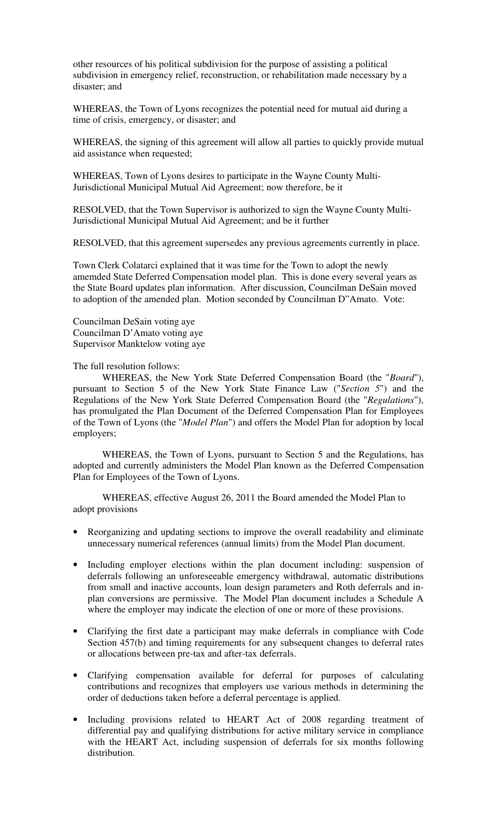other resources of his political subdivision for the purpose of assisting a political subdivision in emergency relief, reconstruction, or rehabilitation made necessary by a disaster; and

WHEREAS, the Town of Lyons recognizes the potential need for mutual aid during a time of crisis, emergency, or disaster; and

WHEREAS, the signing of this agreement will allow all parties to quickly provide mutual aid assistance when requested;

WHEREAS, Town of Lyons desires to participate in the Wayne County Multi-Jurisdictional Municipal Mutual Aid Agreement; now therefore, be it

RESOLVED, that the Town Supervisor is authorized to sign the Wayne County Multi-Jurisdictional Municipal Mutual Aid Agreement; and be it further

RESOLVED, that this agreement supersedes any previous agreements currently in place.

Town Clerk Colatarci explained that it was time for the Town to adopt the newly amemded State Deferred Compensation model plan. This is done every several years as the State Board updates plan information. After discussion, Councilman DeSain moved to adoption of the amended plan. Motion seconded by Councilman D"Amato. Vote:

Councilman DeSain voting aye Councilman D'Amato voting aye Supervisor Manktelow voting aye

The full resolution follows:

WHEREAS, the New York State Deferred Compensation Board (the "*Board*"), pursuant to Section 5 of the New York State Finance Law ("*Section 5*") and the Regulations of the New York State Deferred Compensation Board (the "*Regulations*"), has promulgated the Plan Document of the Deferred Compensation Plan for Employees of the Town of Lyons (the "*Model Plan*") and offers the Model Plan for adoption by local employers;

WHEREAS, the Town of Lyons, pursuant to Section 5 and the Regulations, has adopted and currently administers the Model Plan known as the Deferred Compensation Plan for Employees of the Town of Lyons.

WHEREAS, effective August 26, 2011 the Board amended the Model Plan to adopt provisions

- Reorganizing and updating sections to improve the overall readability and eliminate unnecessary numerical references (annual limits) from the Model Plan document.
- Including employer elections within the plan document including: suspension of deferrals following an unforeseeable emergency withdrawal, automatic distributions from small and inactive accounts, loan design parameters and Roth deferrals and inplan conversions are permissive. The Model Plan document includes a Schedule A where the employer may indicate the election of one or more of these provisions.
- Clarifying the first date a participant may make deferrals in compliance with Code Section 457(b) and timing requirements for any subsequent changes to deferral rates or allocations between pre-tax and after-tax deferrals.
- Clarifying compensation available for deferral for purposes of calculating contributions and recognizes that employers use various methods in determining the order of deductions taken before a deferral percentage is applied.
- Including provisions related to HEART Act of 2008 regarding treatment of differential pay and qualifying distributions for active military service in compliance with the HEART Act, including suspension of deferrals for six months following distribution.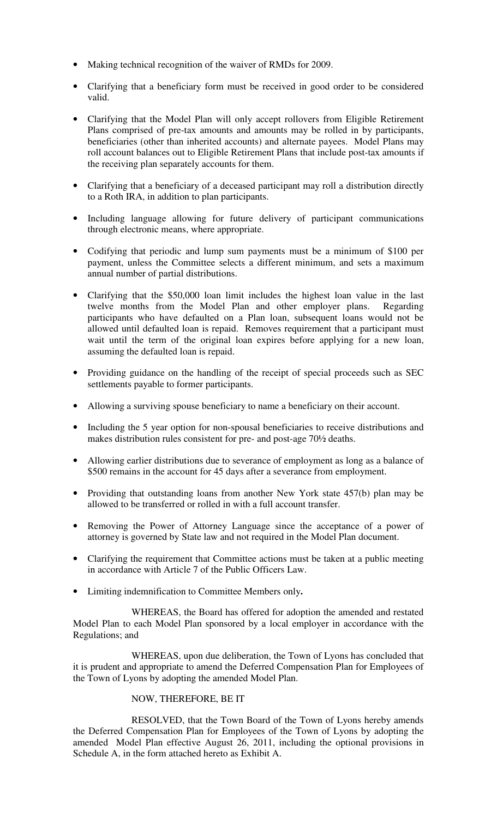- Making technical recognition of the waiver of RMDs for 2009.
- Clarifying that a beneficiary form must be received in good order to be considered valid.
- Clarifying that the Model Plan will only accept rollovers from Eligible Retirement Plans comprised of pre-tax amounts and amounts may be rolled in by participants, beneficiaries (other than inherited accounts) and alternate payees. Model Plans may roll account balances out to Eligible Retirement Plans that include post-tax amounts if the receiving plan separately accounts for them.
- Clarifying that a beneficiary of a deceased participant may roll a distribution directly to a Roth IRA, in addition to plan participants.
- Including language allowing for future delivery of participant communications through electronic means, where appropriate.
- Codifying that periodic and lump sum payments must be a minimum of \$100 per payment, unless the Committee selects a different minimum, and sets a maximum annual number of partial distributions.
- Clarifying that the \$50,000 loan limit includes the highest loan value in the last twelve months from the Model Plan and other employer plans. Regarding participants who have defaulted on a Plan loan, subsequent loans would not be allowed until defaulted loan is repaid. Removes requirement that a participant must wait until the term of the original loan expires before applying for a new loan, assuming the defaulted loan is repaid.
- Providing guidance on the handling of the receipt of special proceeds such as SEC settlements payable to former participants.
- Allowing a surviving spouse beneficiary to name a beneficiary on their account.
- Including the 5 year option for non-spousal beneficiaries to receive distributions and makes distribution rules consistent for pre- and post-age 70½ deaths.
- Allowing earlier distributions due to severance of employment as long as a balance of \$500 remains in the account for 45 days after a severance from employment.
- Providing that outstanding loans from another New York state 457(b) plan may be allowed to be transferred or rolled in with a full account transfer.
- Removing the Power of Attorney Language since the acceptance of a power of attorney is governed by State law and not required in the Model Plan document.
- Clarifying the requirement that Committee actions must be taken at a public meeting in accordance with Article 7 of the Public Officers Law.
- Limiting indemnification to Committee Members only**.**

WHEREAS, the Board has offered for adoption the amended and restated Model Plan to each Model Plan sponsored by a local employer in accordance with the Regulations; and

WHEREAS, upon due deliberation, the Town of Lyons has concluded that it is prudent and appropriate to amend the Deferred Compensation Plan for Employees of the Town of Lyons by adopting the amended Model Plan.

## NOW, THEREFORE, BE IT

RESOLVED, that the Town Board of the Town of Lyons hereby amends the Deferred Compensation Plan for Employees of the Town of Lyons by adopting the amended Model Plan effective August 26, 2011, including the optional provisions in Schedule A, in the form attached hereto as Exhibit A.